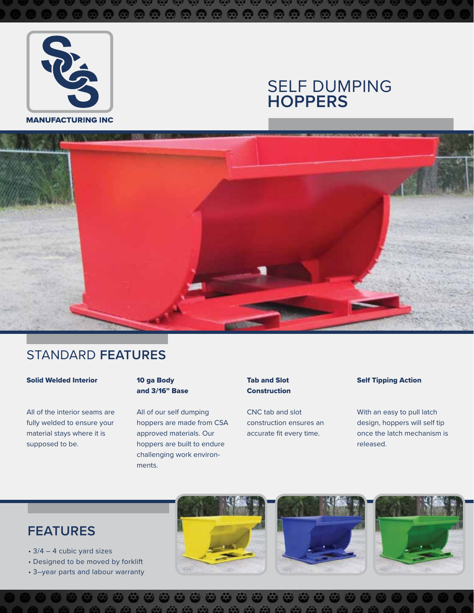

#### **MANUFACTURING INC**

# SELF DUMPING **HOPPERS**



## STANDARD **FEATURES**

#### Solid Welded Interior

All of the interior seams are fully welded to ensure your material stays where it is supposed to be.

#### 10 ga Body and 3/16" Base

All of our self dumping hoppers are made from CSA approved materials. Our hoppers are built to endure challenging work environments.

#### Tab and Slot **Construction**

CNC tab and slot construction ensures an accurate fit every time.

#### Self Tipping Action

With an easy to pull latch design, hoppers will self tip once the latch mechanism is released.

# **FEATURES**

- 3/4 4 cubic yard sizes
- Designed to be moved by forklift
- 3–year parts and labour warranty